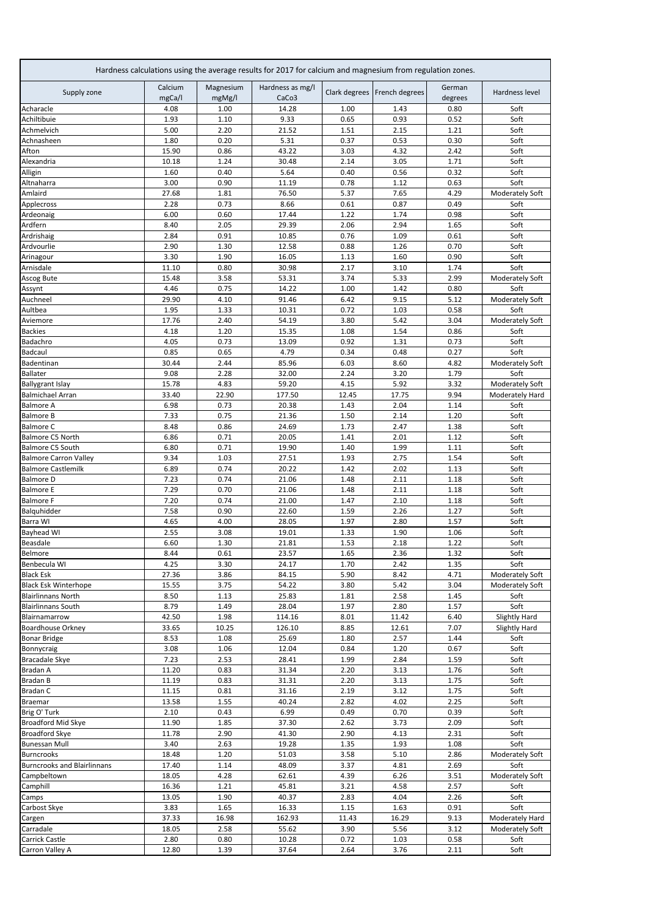|                                                  | Calcium        | Magnesium    | Hardness calculations using the average results for 2017 for calcium and magnesium from regulation zones.<br>Hardness as mg/l |              |                              | German       |                                    |
|--------------------------------------------------|----------------|--------------|-------------------------------------------------------------------------------------------------------------------------------|--------------|------------------------------|--------------|------------------------------------|
| Supply zone                                      | mgCa/l         | mgMg/l       | CaCo3                                                                                                                         |              | Clark degrees French degrees | degrees      | Hardness level                     |
| Acharacle                                        | 4.08           | 1.00         | 14.28                                                                                                                         | 1.00         | 1.43                         | 0.80         | Soft                               |
| Achiltibuie                                      | 1.93           | 1.10         | 9.33                                                                                                                          | 0.65         | 0.93                         | 0.52         | Soft                               |
| Achmelvich                                       | 5.00           | 2.20         | 21.52                                                                                                                         | 1.51         | 2.15                         | 1.21         | Soft                               |
| Achnasheen                                       | 1.80           | 0.20         | 5.31                                                                                                                          | 0.37         | 0.53                         | 0.30         | Soft                               |
| Afton                                            | 15.90          | 0.86         | 43.22                                                                                                                         | 3.03         | 4.32                         | 2.42         | Soft                               |
| Alexandria<br>Alligin                            | 10.18<br>1.60  | 1.24<br>0.40 | 30.48<br>5.64                                                                                                                 | 2.14<br>0.40 | 3.05<br>0.56                 | 1.71<br>0.32 | Soft<br>Soft                       |
| Altnaharra                                       | 3.00           | 0.90         | 11.19                                                                                                                         | 0.78         | 1.12                         | 0.63         | Soft                               |
| Amlaird                                          | 27.68          | 1.81         | 76.50                                                                                                                         | 5.37         | 7.65                         | 4.29         | Moderately Soft                    |
| Applecross                                       | 2.28           | 0.73         | 8.66                                                                                                                          | 0.61         | 0.87                         | 0.49         | Soft                               |
| Ardeonaig                                        | 6.00           | 0.60         | 17.44                                                                                                                         | 1.22         | 1.74                         | 0.98         | Soft                               |
| Ardfern                                          | 8.40           | 2.05         | 29.39                                                                                                                         | 2.06         | 2.94                         | 1.65         | Soft                               |
| Ardrishaig                                       | 2.84           | 0.91         | 10.85                                                                                                                         | 0.76         | 1.09                         | 0.61         | Soft                               |
| Ardvourlie                                       | 2.90           | 1.30         | 12.58                                                                                                                         | 0.88         | 1.26                         | 0.70         | Soft                               |
| Arinagour                                        | 3.30           | 1.90         | 16.05                                                                                                                         | 1.13         | 1.60                         | 0.90         | Soft                               |
| Arnisdale                                        | 11.10          | 0.80         | 30.98                                                                                                                         | 2.17         | 3.10                         | 1.74         | Soft                               |
| Ascog Bute                                       | 15.48          | 3.58         | 53.31                                                                                                                         | 3.74         | 5.33                         | 2.99         | Moderately Soft                    |
| Assynt<br>Auchneel                               | 4.46<br>29.90  | 0.75<br>4.10 | 14.22<br>91.46                                                                                                                | 1.00<br>6.42 | 1.42<br>9.15                 | 0.80<br>5.12 | Soft                               |
| Aultbea                                          | 1.95           | 1.33         | 10.31                                                                                                                         | 0.72         | 1.03                         | 0.58         | Moderately Soft<br>Soft            |
| Aviemore                                         | 17.76          | 2.40         | 54.19                                                                                                                         | 3.80         | 5.42                         | 3.04         | Moderately Soft                    |
| <b>Backies</b>                                   | 4.18           | 1.20         | 15.35                                                                                                                         | 1.08         | 1.54                         | 0.86         | Soft                               |
| Badachro                                         | 4.05           | 0.73         | 13.09                                                                                                                         | 0.92         | 1.31                         | 0.73         | Soft                               |
| Badcaul                                          | 0.85           | 0.65         | 4.79                                                                                                                          | 0.34         | 0.48                         | 0.27         | Soft                               |
| Badentinan                                       | 30.44          | 2.44         | 85.96                                                                                                                         | 6.03         | 8.60                         | 4.82         | Moderately Soft                    |
| <b>Ballater</b>                                  | 9.08           | 2.28         | 32.00                                                                                                                         | 2.24         | 3.20                         | 1.79         | Soft                               |
| <b>Ballygrant Islay</b>                          | 15.78          | 4.83         | 59.20                                                                                                                         | 4.15         | 5.92                         | 3.32         | <b>Moderately Soft</b>             |
| <b>Balmichael Arran</b>                          | 33.40          | 22.90        | 177.50                                                                                                                        | 12.45        | 17.75                        | 9.94         | Moderately Hard                    |
| <b>Balmore A</b>                                 | 6.98           | 0.73         | 20.38                                                                                                                         | 1.43         | 2.04                         | 1.14         | Soft                               |
| <b>Balmore B</b>                                 | 7.33           | 0.75         | 21.36                                                                                                                         | 1.50         | 2.14                         | 1.20         | Soft                               |
| <b>Balmore C</b>                                 | 8.48           | 0.86         | 24.69                                                                                                                         | 1.73         | 2.47                         | 1.38         | Soft                               |
| Balmore C5 North                                 | 6.86           | 0.71<br>0.71 | 20.05                                                                                                                         | 1.41         | 2.01                         | 1.12         | Soft                               |
| Balmore C5 South<br><b>Balmore Carron Valley</b> | 6.80<br>9.34   | 1.03         | 19.90<br>27.51                                                                                                                | 1.40<br>1.93 | 1.99<br>2.75                 | 1.11<br>1.54 | Soft<br>Soft                       |
| <b>Balmore Castlemilk</b>                        | 6.89           | 0.74         | 20.22                                                                                                                         | 1.42         | 2.02                         | 1.13         | Soft                               |
| <b>Balmore D</b>                                 | 7.23           | 0.74         | 21.06                                                                                                                         | 1.48         | 2.11                         | 1.18         | Soft                               |
| <b>Balmore E</b>                                 | 7.29           | 0.70         | 21.06                                                                                                                         | 1.48         | 2.11                         | 1.18         | Soft                               |
| <b>Balmore F</b>                                 | 7.20           | 0.74         | 21.00                                                                                                                         | 1.47         | 2.10                         | 1.18         | Soft                               |
| Balquhidder                                      | 7.58           | 0.90         | 22.60                                                                                                                         | 1.59         | 2.26                         | 1.27         | Soft                               |
| Barra WI                                         | 4.65           | 4.00         | 28.05                                                                                                                         | 1.97         | 2.80                         | 1.57         | Soft                               |
| <b>Bayhead WI</b>                                | 2.55           | 3.08         | 19.01                                                                                                                         | 1.33         | 1.90                         | 1.06         | Soft                               |
| Beasdale                                         | 6.60           | 1.30         | 21.81                                                                                                                         | 1.53         | 2.18                         | 1.22         | Soft                               |
| Belmore                                          | 8.44           | 0.61         | 23.57                                                                                                                         | 1.65         | 2.36                         | 1.32         | Soft                               |
| Benbecula WI                                     | 4.25           | 3.30         | 24.17                                                                                                                         | 1.70         | 2.42                         | 1.35         | Soft                               |
| <b>Black Esk</b><br><b>Black Esk Winterhope</b>  | 27.36<br>15.55 | 3.86<br>3.75 | 84.15<br>54.22                                                                                                                | 5.90<br>3.80 | 8.42<br>5.42                 | 4.71<br>3.04 | Moderately Soft<br>Moderately Soft |
| <b>Blairlinnans North</b>                        | 8.50           | 1.13         | 25.83                                                                                                                         | 1.81         | 2.58                         | 1.45         | Soft                               |
| <b>Blairlinnans South</b>                        | 8.79           | 1.49         | 28.04                                                                                                                         | 1.97         | 2.80                         | 1.57         | Soft                               |
| Blairnamarrow                                    | 42.50          | 1.98         | 114.16                                                                                                                        | 8.01         | 11.42                        | 6.40         | Slightly Hard                      |
| <b>Boardhouse Orkney</b>                         | 33.65          | 10.25        | 126.10                                                                                                                        | 8.85         | 12.61                        | 7.07         | Slightly Hard                      |
| <b>Bonar Bridge</b>                              | 8.53           | 1.08         | 25.69                                                                                                                         | 1.80         | 2.57                         | 1.44         | Soft                               |
| Bonnycraig                                       | 3.08           | 1.06         | 12.04                                                                                                                         | 0.84         | 1.20                         | 0.67         | Soft                               |
| <b>Bracadale Skye</b>                            | 7.23           | 2.53         | 28.41                                                                                                                         | 1.99         | 2.84                         | 1.59         | Soft                               |
| Bradan A                                         | 11.20          | 0.83         | 31.34                                                                                                                         | 2.20         | 3.13                         | 1.76         | Soft                               |
| Bradan B                                         | 11.19          | 0.83         | 31.31                                                                                                                         | 2.20         | 3.13                         | 1.75         | Soft                               |
| Bradan C                                         | 11.15          | 0.81         | 31.16                                                                                                                         | 2.19         | 3.12                         | 1.75         | Soft                               |
| Braemar                                          | 13.58          | 1.55         | 40.24                                                                                                                         | 2.82         | 4.02                         | 2.25         | Soft                               |
| Brig O' Turk<br>Broadford Mid Skye               | 2.10<br>11.90  | 0.43<br>1.85 | 6.99<br>37.30                                                                                                                 | 0.49<br>2.62 | 0.70<br>3.73                 | 0.39<br>2.09 | Soft<br>Soft                       |
| <b>Broadford Skye</b>                            | 11.78          | 2.90         | 41.30                                                                                                                         | 2.90         | 4.13                         | 2.31         | Soft                               |
| <b>Bunessan Mull</b>                             | 3.40           | 2.63         | 19.28                                                                                                                         | 1.35         | 1.93                         | 1.08         | Soft                               |
| <b>Burncrooks</b>                                | 18.48          | 1.20         | 51.03                                                                                                                         | 3.58         | 5.10                         | 2.86         | Moderately Soft                    |
| <b>Burncrooks and Blairlinnans</b>               | 17.40          | 1.14         | 48.09                                                                                                                         | 3.37         | 4.81                         | 2.69         | Soft                               |
| Campbeltown                                      | 18.05          | 4.28         | 62.61                                                                                                                         | 4.39         | 6.26                         | 3.51         | Moderately Soft                    |
| Camphill                                         | 16.36          | 1.21         | 45.81                                                                                                                         | 3.21         | 4.58                         | 2.57         | Soft                               |
| Camps                                            | 13.05          | 1.90         | 40.37                                                                                                                         | 2.83         | 4.04                         | 2.26         | Soft                               |
| Carbost Skye                                     | 3.83           | 1.65         | 16.33                                                                                                                         | 1.15         | 1.63                         | 0.91         | Soft                               |
| Cargen                                           | 37.33          | 16.98        | 162.93                                                                                                                        | 11.43        | 16.29                        | 9.13         | Moderately Hard                    |
| Carradale                                        | 18.05          | 2.58         | 55.62                                                                                                                         | 3.90         | 5.56                         | 3.12         | Moderately Soft                    |
| Carrick Castle                                   | 2.80           | 0.80         | 10.28                                                                                                                         | 0.72         | 1.03                         | 0.58         | Soft                               |
| Carron Valley A                                  | 12.80          | 1.39         | 37.64                                                                                                                         | 2.64         | 3.76                         | 2.11         | Soft                               |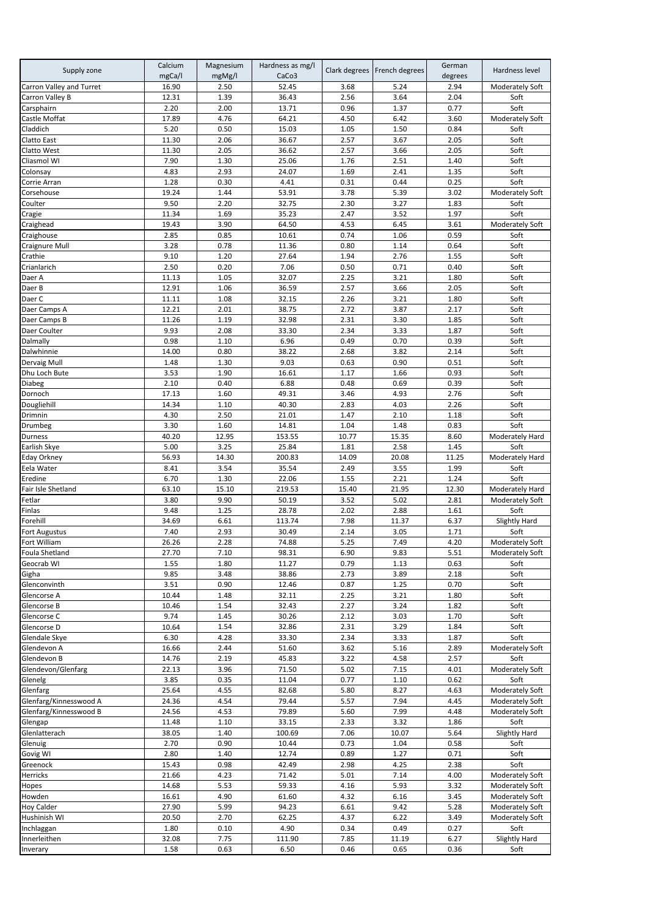| Supply zone                  | Calcium<br>mgCa/l | Magnesium<br>mgMg/l | Hardness as mg/l<br>CaCo3 |               | Clark degrees   French degrees | German<br>degrees | Hardness level                     |
|------------------------------|-------------------|---------------------|---------------------------|---------------|--------------------------------|-------------------|------------------------------------|
| Carron Valley and Turret     | 16.90             | 2.50                | 52.45                     | 3.68          | 5.24                           | 2.94              | Moderately Soft                    |
| Carron Valley B              | 12.31             | 1.39                | 36.43                     | 2.56          | 3.64                           | 2.04              | Soft                               |
| Carsphairn                   | 2.20              | 2.00                | 13.71                     | 0.96          | 1.37                           | 0.77              | Soft                               |
| Castle Moffat                | 17.89             | 4.76                | 64.21                     | 4.50          | 6.42                           | 3.60              | Moderately Soft                    |
| Claddich                     | 5.20<br>11.30     | 0.50<br>2.06        | 15.03<br>36.67            | 1.05<br>2.57  | 1.50<br>3.67                   | 0.84<br>2.05      | Soft<br>Soft                       |
| Clatto East<br>Clatto West   | 11.30             | 2.05                | 36.62                     | 2.57          | 3.66                           | 2.05              | Soft                               |
| Cliasmol WI                  | 7.90              | 1.30                | 25.06                     | 1.76          | 2.51                           | 1.40              | Soft                               |
| Colonsay                     | 4.83              | 2.93                | 24.07                     | 1.69          | 2.41                           | 1.35              | Soft                               |
| Corrie Arran                 | 1.28              | 0.30                | 4.41                      | 0.31          | 0.44                           | 0.25              | Soft                               |
| Corsehouse                   | 19.24             | 1.44                | 53.91                     | 3.78          | 5.39                           | 3.02              | Moderately Soft                    |
| Coulter                      | 9.50              | 2.20                | 32.75                     | 2.30          | 3.27                           | 1.83              | Soft                               |
| Cragie                       | 11.34             | 1.69                | 35.23                     | 2.47          | 3.52                           | 1.97              | Soft                               |
| Craighead                    | 19.43             | 3.90                | 64.50                     | 4.53          | 6.45                           | 3.61              | Moderately Soft                    |
| Craighouse<br>Craignure Mull | 2.85<br>3.28      | 0.85<br>0.78        | 10.61<br>11.36            | 0.74<br>0.80  | 1.06<br>1.14                   | 0.59<br>0.64      | Soft<br>Soft                       |
| Crathie                      | 9.10              | 1.20                | 27.64                     | 1.94          | 2.76                           | 1.55              | Soft                               |
| Crianlarich                  | 2.50              | 0.20                | 7.06                      | 0.50          | 0.71                           | 0.40              | Soft                               |
| Daer A                       | 11.13             | 1.05                | 32.07                     | 2.25          | 3.21                           | 1.80              | Soft                               |
| Daer B                       | 12.91             | 1.06                | 36.59                     | 2.57          | 3.66                           | 2.05              | Soft                               |
| Daer C                       | 11.11             | 1.08                | 32.15                     | 2.26          | 3.21                           | 1.80              | Soft                               |
| Daer Camps A                 | 12.21             | 2.01                | 38.75                     | 2.72          | 3.87                           | 2.17              | Soft                               |
| Daer Camps B                 | 11.26             | 1.19                | 32.98                     | 2.31          | 3.30                           | 1.85              | Soft                               |
| Daer Coulter                 | 9.93              | 2.08                | 33.30                     | 2.34          | 3.33                           | 1.87              | Soft                               |
| Dalmally<br>Dalwhinnie       | 0.98<br>14.00     | 1.10<br>0.80        | 6.96<br>38.22             | 0.49<br>2.68  | 0.70<br>3.82                   | 0.39<br>2.14      | Soft<br>Soft                       |
| Dervaig Mull                 | 1.48              | 1.30                | 9.03                      | 0.63          | 0.90                           | 0.51              | Soft                               |
| Dhu Loch Bute                | 3.53              | 1.90                | 16.61                     | 1.17          | 1.66                           | 0.93              | Soft                               |
| Diabeg                       | 2.10              | 0.40                | 6.88                      | 0.48          | 0.69                           | 0.39              | Soft                               |
| Dornoch                      | 17.13             | 1.60                | 49.31                     | 3.46          | 4.93                           | 2.76              | Soft                               |
| Dougliehill                  | 14.34             | 1.10                | 40.30                     | 2.83          | 4.03                           | 2.26              | Soft                               |
| Drimnin                      | 4.30              | 2.50                | 21.01                     | 1.47          | 2.10                           | 1.18              | Soft                               |
| Drumbeg                      | 3.30              | 1.60                | 14.81                     | 1.04          | 1.48                           | 0.83              | Soft                               |
| Durness                      | 40.20             | 12.95               | 153.55                    | 10.77         | 15.35                          | 8.60              | Moderately Hard                    |
| Earlish Skye                 | 5.00<br>56.93     | 3.25<br>14.30       | 25.84<br>200.83           | 1.81<br>14.09 | 2.58<br>20.08                  | 1.45<br>11.25     | Soft                               |
| Eday Orkney<br>Eela Water    | 8.41              | 3.54                | 35.54                     | 2.49          | 3.55                           | 1.99              | Moderately Hard<br>Soft            |
| Eredine                      | 6.70              | 1.30                | 22.06                     | 1.55          | 2.21                           | 1.24              | Soft                               |
| Fair Isle Shetland           | 63.10             | 15.10               | 219.53                    | 15.40         | 21.95                          | 12.30             | Moderately Hard                    |
| Fetlar                       | 3.80              | 9.90                | 50.19                     | 3.52          | 5.02                           | 2.81              | Moderately Soft                    |
| Finlas                       | 9.48              | 1.25                | 28.78                     | 2.02          | 2.88                           | 1.61              | Soft                               |
| Forehill                     | 34.69             | 6.61                | 113.74                    | 7.98          | 11.37                          | 6.37              | <b>Slightly Hard</b>               |
| Fort Augustus                | 7.40              | 2.93                | 30.49                     | 2.14          | 3.05                           | 1.71              | Soft                               |
| Fort William                 | 26.26             | 2.28                | 74.88                     | 5.25          | 7.49                           | 4.20              | Moderately Soft                    |
| Foula Shetland<br>Geocrab WI | 27.70<br>1.55     | 7.10<br>1.80        | 98.31<br>11.27            | 6.90<br>0.79  | 9.83<br>1.13                   | 5.51<br>0.63      | <b>Moderately Soft</b><br>Soft     |
| Gigha                        | 9.85              | 3.48                | 38.86                     | 2.73          | 3.89                           | 2.18              | Soft                               |
| Glenconvinth                 | 3.51              | 0.90                | 12.46                     | 0.87          | 1.25                           | 0.70              | Soft                               |
| Glencorse A                  | 10.44             | 1.48                | 32.11                     | 2.25          | 3.21                           | 1.80              | Soft                               |
| Glencorse B                  | 10.46             | 1.54                | 32.43                     | 2.27          | 3.24                           | 1.82              | Soft                               |
| Glencorse C                  | 9.74              | 1.45                | 30.26                     | 2.12          | 3.03                           | 1.70              | Soft                               |
| Glencorse D                  | 10.64             | 1.54                | 32.86                     | 2.31          | 3.29                           | 1.84              | Soft                               |
| Glendale Skye                | 6.30              | 4.28                | 33.30                     | 2.34          | 3.33                           | 1.87              | Soft                               |
| Glendevon A<br>Glendevon B   | 16.66<br>14.76    | 2.44<br>2.19        | 51.60<br>45.83            | 3.62<br>3.22  | 5.16                           | 2.89<br>2.57      | Moderately Soft<br>Soft            |
| Glendevon/Glenfarg           | 22.13             | 3.96                | 71.50                     | 5.02          | 4.58<br>7.15                   | 4.01              | Moderately Soft                    |
| Glenelg                      | 3.85              | 0.35                | 11.04                     | 0.77          | 1.10                           | 0.62              | Soft                               |
| Glenfarg                     | 25.64             | 4.55                | 82.68                     | 5.80          | 8.27                           | 4.63              | <b>Moderately Soft</b>             |
| Glenfarg/Kinnesswood A       | 24.36             | 4.54                | 79.44                     | 5.57          | 7.94                           | 4.45              | Moderately Soft                    |
| Glenfarg/Kinnesswood B       | 24.56             | 4.53                | 79.89                     | 5.60          | 7.99                           | 4.48              | Moderately Soft                    |
| Glengap                      | 11.48             | 1.10                | 33.15                     | 2.33          | 3.32                           | 1.86              | Soft                               |
| Glenlatterach                | 38.05             | 1.40                | 100.69                    | 7.06          | 10.07                          | 5.64              | Slightly Hard                      |
| Glenuig                      | 2.70              | 0.90                | 10.44                     | 0.73          | 1.04                           | 0.58              | Soft                               |
| Govig WI                     | 2.80              | 1.40                | 12.74                     | 0.89          | 1.27                           | 0.71              | Soft                               |
| Greenock                     | 15.43<br>21.66    | 0.98<br>4.23        | 42.49                     | 2.98          | 4.25<br>7.14                   | 2.38<br>4.00      | Soft                               |
| Herricks<br>Hopes            | 14.68             | 5.53                | 71.42<br>59.33            | 5.01<br>4.16  | 5.93                           | 3.32              | Moderately Soft<br>Moderately Soft |
| Howden                       | 16.61             | 4.90                | 61.60                     | 4.32          | 6.16                           | 3.45              | Moderately Soft                    |
| <b>Hoy Calder</b>            | 27.90             | 5.99                | 94.23                     | 6.61          | 9.42                           | 5.28              | Moderately Soft                    |
| Hushinish WI                 | 20.50             | 2.70                | 62.25                     | 4.37          | 6.22                           | 3.49              | Moderately Soft                    |
| Inchlaggan                   | 1.80              | 0.10                | 4.90                      | 0.34          | 0.49                           | 0.27              | Soft                               |
| Innerleithen                 | 32.08             | 7.75                | 111.90                    | 7.85          | 11.19                          | 6.27              | Slightly Hard                      |
| Inverary                     | 1.58              | 0.63                | 6.50                      | 0.46          | 0.65                           | 0.36              | Soft                               |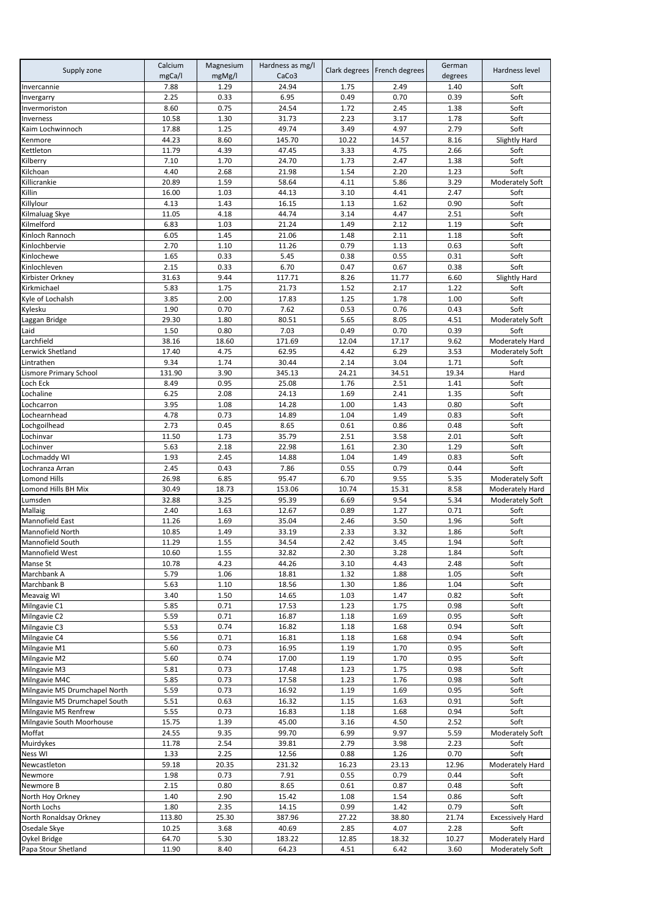| Supply zone                                 | Calcium<br>mgCa/l | Magnesium<br>mgMg/l | Hardness as mg/l<br>CaCo <sub>3</sub> |              | Clark degrees   French degrees | German<br>degrees | Hardness level          |
|---------------------------------------------|-------------------|---------------------|---------------------------------------|--------------|--------------------------------|-------------------|-------------------------|
| Invercannie                                 | 7.88              | 1.29                | 24.94                                 | 1.75         | 2.49                           | 1.40              | Soft                    |
| Invergarry                                  | 2.25              | 0.33                | 6.95                                  | 0.49         | 0.70                           | 0.39              | Soft                    |
| Invermoriston                               | 8.60              | 0.75                | 24.54                                 | 1.72         | 2.45                           | 1.38              | Soft                    |
| Inverness<br>Kaim Lochwinnoch               | 10.58<br>17.88    | 1.30<br>1.25        | 31.73<br>49.74                        | 2.23<br>3.49 | 3.17<br>4.97                   | 1.78<br>2.79      | Soft<br>Soft            |
| Kenmore                                     | 44.23             | 8.60                | 145.70                                | 10.22        | 14.57                          | 8.16              | Slightly Hard           |
| Kettleton                                   | 11.79             | 4.39                | 47.45                                 | 3.33         | 4.75                           | 2.66              | Soft                    |
| Kilberry                                    | 7.10              | 1.70                | 24.70                                 | 1.73         | 2.47                           | 1.38              | Soft                    |
| Kilchoan                                    | 4.40              | 2.68                | 21.98                                 | 1.54         | 2.20                           | 1.23              | Soft                    |
| Killicrankie                                | 20.89             | 1.59                | 58.64                                 | 4.11         | 5.86                           | 3.29              | Moderately Soft         |
| Killin                                      | 16.00             | 1.03                | 44.13                                 | 3.10         | 4.41                           | 2.47              | Soft                    |
| Killylour                                   | 4.13              | 1.43                | 16.15                                 | 1.13         | 1.62                           | 0.90              | Soft                    |
| Kilmaluag Skye                              | 11.05             | 4.18                | 44.74                                 | 3.14         | 4.47                           | 2.51              | Soft                    |
| Kilmelford                                  | 6.83              | 1.03                | 21.24                                 | 1.49         | 2.12                           | 1.19              | Soft                    |
| Kinloch Rannoch                             | 6.05              | 1.45                | 21.06                                 | 1.48         | 2.11                           | 1.18              | Soft                    |
| Kinlochbervie<br>Kinlochewe                 | 2.70<br>1.65      | 1.10<br>0.33        | 11.26<br>5.45                         | 0.79<br>0.38 | 1.13<br>0.55                   | 0.63<br>0.31      | Soft<br>Soft            |
| Kinlochleven                                | 2.15              | 0.33                | 6.70                                  | 0.47         | 0.67                           | 0.38              | Soft                    |
| Kirbister Orkney                            | 31.63             | 9.44                | 117.71                                | 8.26         | 11.77                          | 6.60              | <b>Slightly Hard</b>    |
| Kirkmichael                                 | 5.83              | 1.75                | 21.73                                 | 1.52         | 2.17                           | 1.22              | Soft                    |
| Kyle of Lochalsh                            | 3.85              | 2.00                | 17.83                                 | 1.25         | 1.78                           | 1.00              | Soft                    |
| Kylesku                                     | 1.90              | 0.70                | 7.62                                  | 0.53         | 0.76                           | 0.43              | Soft                    |
| Laggan Bridge                               | 29.30             | 1.80                | 80.51                                 | 5.65         | 8.05                           | 4.51              | Moderately Soft         |
| Laid                                        | 1.50              | 0.80                | 7.03                                  | 0.49         | 0.70                           | 0.39              | Soft                    |
| Larchfield                                  | 38.16             | 18.60               | 171.69                                | 12.04        | 17.17                          | 9.62              | Moderately Hard         |
| Lerwick Shetland                            | 17.40             | 4.75                | 62.95                                 | 4.42         | 6.29                           | 3.53              | Moderately Soft         |
| Lintrathen                                  | 9.34              | 1.74                | 30.44                                 | 2.14         | 3.04                           | 1.71              | Soft                    |
| Lismore Primary School                      | 131.90            | 3.90                | 345.13                                | 24.21        | 34.51                          | 19.34             | Hard                    |
| Loch Eck                                    | 8.49              | 0.95                | 25.08                                 | 1.76         | 2.51                           | 1.41              | Soft                    |
| Lochaline<br>Lochcarron                     | 6.25<br>3.95      | 2.08<br>1.08        | 24.13<br>14.28                        | 1.69<br>1.00 | 2.41<br>1.43                   | 1.35<br>0.80      | Soft<br>Soft            |
| Lochearnhead                                | 4.78              | 0.73                | 14.89                                 | 1.04         | 1.49                           | 0.83              | Soft                    |
| Lochgoilhead                                | 2.73              | 0.45                | 8.65                                  | 0.61         | 0.86                           | 0.48              | Soft                    |
| Lochinvar                                   | 11.50             | 1.73                | 35.79                                 | 2.51         | 3.58                           | 2.01              | Soft                    |
| Lochinver                                   | 5.63              | 2.18                | 22.98                                 | 1.61         | 2.30                           | 1.29              | Soft                    |
| Lochmaddy WI                                | 1.93              | 2.45                | 14.88                                 | 1.04         | 1.49                           | 0.83              | Soft                    |
| Lochranza Arran                             | 2.45              | 0.43                | 7.86                                  | 0.55         | 0.79                           | 0.44              | Soft                    |
| Lomond Hills                                | 26.98             | 6.85                | 95.47                                 | 6.70         | 9.55                           | 5.35              | Moderately Soft         |
| omond Hills BH Mix                          | 30.49             | 18.73               | 153.06                                | 10.74        | 15.31                          | 8.58              | Moderately Hard         |
| Lumsden                                     | 32.88             | 3.25                | 95.39                                 | 6.69         | 9.54                           | 5.34              | Moderately Soft         |
| Mallaig                                     | 2.40              | 1.63                | 12.67                                 | 0.89         | 1.27                           | 0.71              | Soft                    |
| <b>Mannofield East</b>                      | 11.26             | 1.69                | 35.04                                 | 2.46         | 3.50                           | 1.96              | Soft                    |
| <b>Mannofield North</b><br>Mannofield South | 10.85<br>11.29    | 1.49<br>1.55        | 33.19<br>34.54                        | 2.33<br>2.42 | 3.32<br>3.45                   | 1.86<br>1.94      | Soft<br>Soft            |
| Mannofield West                             | 10.60             | 1.55                | 32.82                                 | 2.30         | 3.28                           | 1.84              | Soft                    |
| Manse St                                    | 10.78             | 4.23                | 44.26                                 | 3.10         | 4.43                           | 2.48              | Soft                    |
| Marchbank A                                 | 5.79              | 1.06                | 18.81                                 | 1.32         | 1.88                           | 1.05              | Soft                    |
| Marchbank B                                 | 5.63              | 1.10                | 18.56                                 | 1.30         | 1.86                           | 1.04              | Soft                    |
| <b>Meavaig WI</b>                           | 3.40              | 1.50                | 14.65                                 | 1.03         | 1.47                           | 0.82              | Soft                    |
| Milngavie C1                                | 5.85              | 0.71                | 17.53                                 | 1.23         | 1.75                           | 0.98              | Soft                    |
| Milngavie C2                                | 5.59              | 0.71                | 16.87                                 | 1.18         | 1.69                           | 0.95              | Soft                    |
| Milngavie C3                                | 5.53              | 0.74                | 16.82                                 | 1.18         | 1.68                           | 0.94              | Soft                    |
| Milngavie C4                                | 5.56              | 0.71                | 16.81                                 | 1.18         | 1.68                           | 0.94              | Soft                    |
| Milngavie M1<br>Milngavie M2                | 5.60<br>5.60      | 0.73<br>0.74        | 16.95<br>17.00                        | 1.19<br>1.19 | 1.70<br>1.70                   | 0.95<br>0.95      | Soft<br>Soft            |
| Milngavie M3                                | 5.81              | 0.73                | 17.48                                 | 1.23         | 1.75                           | 0.98              | Soft                    |
| Milngavie M4C                               | 5.85              | 0.73                | 17.58                                 | 1.23         | 1.76                           | 0.98              | Soft                    |
| Milngavie M5 Drumchapel North               | 5.59              | 0.73                | 16.92                                 | 1.19         | 1.69                           | 0.95              | Soft                    |
| Milngavie M5 Drumchapel South               | 5.51              | 0.63                | 16.32                                 | 1.15         | 1.63                           | 0.91              | Soft                    |
| Milngavie M5 Renfrew                        | 5.55              | 0.73                | 16.83                                 | 1.18         | 1.68                           | 0.94              | Soft                    |
| Milngavie South Moorhouse                   | 15.75             | 1.39                | 45.00                                 | 3.16         | 4.50                           | 2.52              | Soft                    |
| Moffat                                      | 24.55             | 9.35                | 99.70                                 | 6.99         | 9.97                           | 5.59              | Moderately Soft         |
| Muirdykes                                   | 11.78             | 2.54                | 39.81                                 | 2.79         | 3.98                           | 2.23              | Soft                    |
| Ness WI                                     | 1.33              | 2.25                | 12.56                                 | 0.88         | 1.26                           | 0.70              | Soft                    |
| Newcastleton                                | 59.18             | 20.35               | 231.32                                | 16.23        | 23.13                          | 12.96             | Moderately Hard         |
| Newmore                                     | 1.98              | 0.73                | 7.91                                  | 0.55         | 0.79                           | 0.44              | Soft                    |
| Newmore B<br>North Hoy Orkney               | 2.15<br>1.40      | 0.80<br>2.90        | 8.65<br>15.42                         | 0.61<br>1.08 | 0.87<br>1.54                   | 0.48<br>0.86      | Soft<br>Soft            |
| North Lochs                                 | 1.80              | 2.35                | 14.15                                 | 0.99         | 1.42                           | 0.79              | Soft                    |
| North Ronaldsay Orkney                      | 113.80            | 25.30               | 387.96                                | 27.22        | 38.80                          | 21.74             | <b>Excessively Hard</b> |
| Osedale Skye                                | 10.25             | 3.68                | 40.69                                 | 2.85         | 4.07                           | 2.28              | Soft                    |
| Oykel Bridge                                | 64.70             | 5.30                | 183.22                                | 12.85        | 18.32                          | 10.27             | Moderately Hard         |
| Papa Stour Shetland                         | 11.90             | 8.40                | 64.23                                 | 4.51         | 6.42                           | 3.60              | Moderately Soft         |